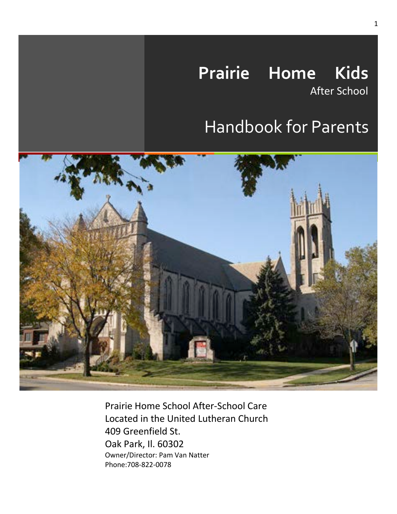# **Prairie Home Kids**

After School

## Handbook for Parents



Prairie Home School After-School Care Located in the United Lutheran Church 409 Greenfield St. Oak Park, Il. 60302 Owner/Director: Pam Van Natter Phone:708-822-0078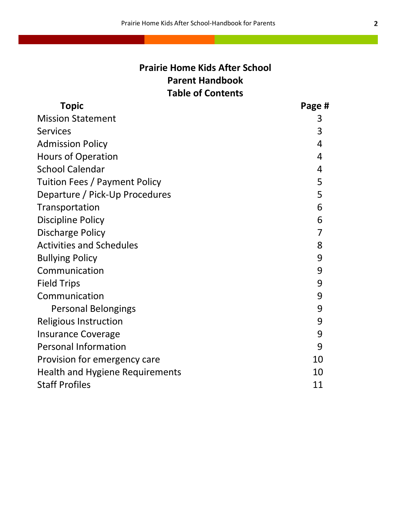## **Prairie Home Kids After School Parent Handbook Table of Contents**

| <b>Topic</b>                           | Page # |
|----------------------------------------|--------|
| <b>Mission Statement</b>               | 3      |
| <b>Services</b>                        | 3      |
| <b>Admission Policy</b>                | 4      |
| <b>Hours of Operation</b>              | 4      |
| <b>School Calendar</b>                 | 4      |
| Tuition Fees / Payment Policy          | 5      |
| Departure / Pick-Up Procedures         | 5      |
| Transportation                         | 6      |
| <b>Discipline Policy</b>               | 6      |
| <b>Discharge Policy</b>                | 7      |
| <b>Activities and Schedules</b>        | 8      |
| <b>Bullying Policy</b>                 | 9      |
| Communication                          | 9      |
| <b>Field Trips</b>                     | 9      |
| Communication                          | 9      |
| <b>Personal Belongings</b>             | 9      |
| <b>Religious Instruction</b>           | 9      |
| <b>Insurance Coverage</b>              | 9      |
| <b>Personal Information</b>            | 9      |
| Provision for emergency care           | 10     |
| <b>Health and Hygiene Requirements</b> | 10     |
| <b>Staff Profiles</b>                  | 11     |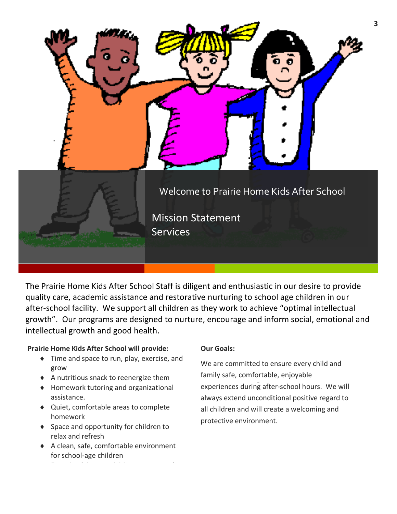

The Prairie Home Kids After School Staff is diligent and enthusiastic in our desire to provide quality care, academic assistance and restorative nurturing to school age children in our after-school facility. We support all children as they work to achieve "optimal intellectual growth". Our programs are designed to nurture, encourage and inform social, emotional and intellectual growth and good health.

#### **Prairie Home Kids After School will provide:**

- $\bullet$  Time and space to run, play, exercise, and grow
- ◆ A nutritious snack to reenergize them
- ◆ Homework tutoring and organizational assistance.
- ◆ Quiet, comfortable areas to complete homework
- ◆ Space and opportunity for children to relax and refresh
- ◆ A clean, safe, comfortable environment for school-age children

¨ Engaging leisure activities-games, puzzles,

#### **Our Goals:**

experiences during after-school hours. We will We are committed to ensure every child and family safe, comfortable, enjoyable always extend unconditional positive regard to all children and will create a welcoming and protective environment.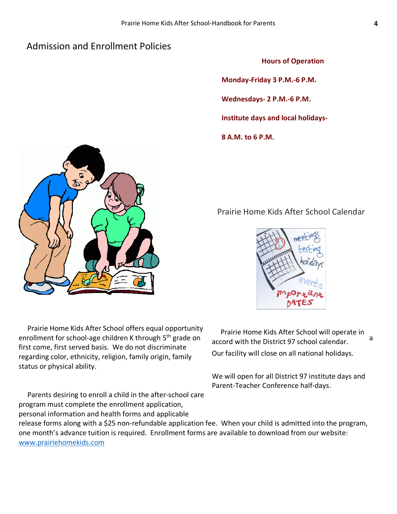## Admission and Enrollment Policies

**Hours of Operation**

**Monday-Friday 3 P.M.-6 P.M.**

**Wednesdays- 2 P.M.-6 P.M.** 

**Institute days and local holidays-**

**8 A.M. to 6 P.M.** 

## Prairie Home Kids After School Calendar



 Prairie Home Kids After School offers equal opportunity enrollment for school-age children K through 5<sup>th</sup> grade on engaged with the District 07 school calender. first come, first served basis. We do not discriminate regarding color, ethnicity, religion, family origin, family status or physical ability.

program must complete the enrollment application,

release forms along with a \$25 non-refundable application fee. When your child is admitted into the program, one month's advance tuition is required. Enrollment forms are available to download from our website: www.prairiehomekids.com

 Parents desiring to enroll a child in the after-school care personal information and health forms and applicable

 Prairie Home Kids After School will operate in accord with the District 97 school calendar. Our facility will close on all national holidays.

We will open for all District 97 institute days and Parent-Teacher Conference half-days.

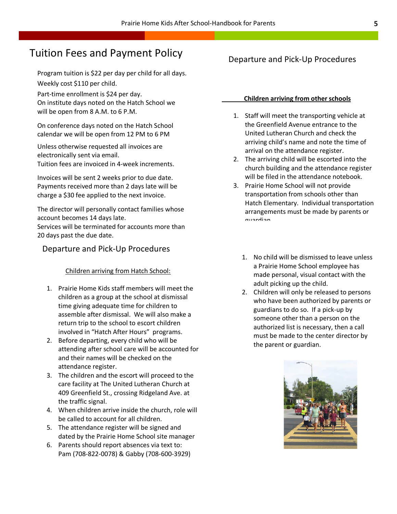## Tuition Fees and Payment Policy

Program tuition is \$22 per day per child for all days.

Weekly cost \$110 per child.

Part-time enrollment is \$24 per day. On institute days noted on the Hatch School we

will be open from 8 A.M. to 6 P.M.

On conference days noted on the Hatch School calendar we will be open from 12 PM to 6 PM

Unless otherwise requested all invoices are electronically sent via email. Tuition fees are invoiced in 4-week increments.

Invoices will be sent 2 weeks prior to due date. Payments received more than 2 days late will be charge a \$30 fee applied to the next invoice.

The director will personally contact families whose account becomes 14 days late.

Services will be terminated for accounts more than 20 days past the due date.

### Departure and Pick-Up Procedures

#### Children arriving from Hatch School:

- 1. Prairie Home Kids staff members will meet the children as a group at the school at dismissal time giving adequate time for children to assemble after dismissal. We will also make a return trip to the school to escort children involved in "Hatch After Hours" programs.
- 2. Before departing, every child who will be attending after school care will be accounted for and their names will be checked on the attendance register.
- 3. The children and the escort will proceed to the care facility at The United Lutheran Church at 409 Greenfield St., crossing Ridgeland Ave. at the traffic signal.
- 4. When children arrive inside the church, role will be called to account for all children.
- 5. The attendance register will be signed and dated by the Prairie Home School site manager
- 6. Parents should report absences via text to: Pam (708-822-0078) & Gabby (708-600-3929)

## Departure and Pick-Up Procedures

#### **Children arriving from other schools**

- 1. Staff will meet the transporting vehicle at the Greenfield Avenue entrance to the United Lutheran Church and check the arriving child's name and note the time of arrival on the attendance register.
- 2. The arriving child will be escorted into the church building and the attendance register will be filed in the attendance notebook.
- 3. Prairie Home School will not provide transportation from schools other than Hatch Elementary. Individual transportation arrangements must be made by parents or guardian
	- 1. No child will be dismissed to leave unless a Prairie Home School employee has made personal, visual contact with the adult picking up the child.
	- 2. Children will only be released to persons who have been authorized by parents or guardians to do so. If a pick-up by someone other than a person on the authorized list is necessary, then a call must be made to the center director by the parent or guardian.

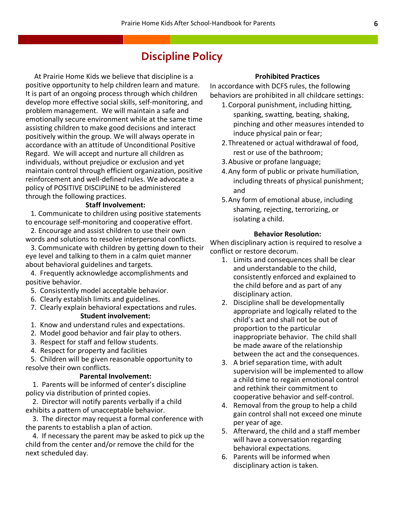## **Discipline Policy**

 At Prairie Home Kids we believe that discipline is a positive opportunity to help children learn and mature. It is part of an ongoing process through which children develop more effective social skills, self-monitoring, and problem management. We will maintain a safe and emotionally secure environment while at the same time assisting children to make good decisions and interact positively within the group. We will always operate in accordance with an attitude of Unconditional Positive Regard. We will accept and nurture all children as individuals, without prejudice or exclusion and yet maintain control through efficient organization, positive reinforcement and well-defined rules. We advocate a policy of POSITIVE DISCIPLINE to be administered through the following practices.

#### **Staff Involvement:**

 1. Communicate to children using positive statements to encourage self-monitoring and cooperative effort.

 2. Encourage and assist children to use their own words and solutions to resolve interpersonal conflicts.

 3. Communicate with children by getting down to their eye level and talking to them in a calm quiet manner about behavioral guidelines and targets.

 4. Frequently acknowledge accomplishments and positive behavior.

- 5. Consistently model acceptable behavior.
- 6. Clearly establish limits and guidelines.
- 7. Clearly explain behavioral expectations and rules. **Student involvement:**
- 1. Know and understand rules and expectations.
- 2. Model good behavior and fair play to others.
- 3. Respect for staff and fellow students.
- 4. Respect for property and facilities

 5. Children will be given reasonable opportunity to resolve their own conflicts.

#### **Parental Involvement:**

 1. Parents will be informed of center's discipline policy via distribution of printed copies.

 2. Director will notify parents verbally if a child exhibits a pattern of unacceptable behavior.

 3. The director may request a formal conference with the parents to establish a plan of action.

 4. If necessary the parent may be asked to pick up the child from the center and/or remove the child for the next scheduled day.

#### **Prohibited Practices**

In accordance with DCFS rules, the following behaviors are prohibited in all childcare settings:

- 1.Corporal punishment, including hitting, spanking, swatting, beating, shaking, pinching and other measures intended to induce physical pain or fear;
- 2.Threatened or actual withdrawal of food, rest or use of the bathroom;
- 3.Abusive or profane language;
- 4.Any form of public or private humiliation, including threats of physical punishment; and
- 5.Any form of emotional abuse, including shaming, rejecting, terrorizing, or isolating a child.

#### **Behavior Resolution:**

When disciplinary action is required to resolve a conflict or restore decorum.

- 1. Limits and consequences shall be clear and understandable to the child, consistently enforced and explained to the child before and as part of any disciplinary action.
- 2. Discipline shall be developmentally appropriate and logically related to the child's act and shall not be out of proportion to the particular inappropriate behavior. The child shall be made aware of the relationship between the act and the consequences.
- 3. A brief separation time, with adult supervision will be implemented to allow a child time to regain emotional control and rethink their commitment to cooperative behavior and self-control.
- 4. Removal from the group to help a child gain control shall not exceed one minute per year of age.
- 5. Afterward, the child and a staff member will have a conversation regarding behavioral expectations.
- 6. Parents will be informed when disciplinary action is taken.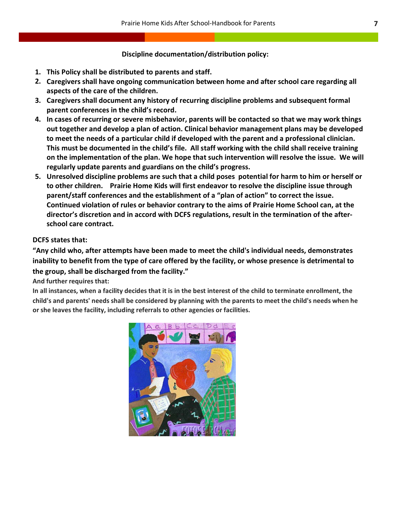#### **Discipline documentation/distribution policy:**

- **1. This Policy shall be distributed to parents and staff.**
- **2. Caregivers shall have ongoing communication between home and after school care regarding all aspects of the care of the children.**
- **3. Caregivers shall document any history of recurring discipline problems and subsequent formal parent conferences in the child's record.**
- **4. In cases of recurring or severe misbehavior, parents will be contacted so that we may work things out together and develop a plan of action. Clinical behavior management plans may be developed to meet the needs of a particular child if developed with the parent and a professional clinician. This must be documented in the child's file. All staff working with the child shall receive training on the implementation of the plan. We hope that such intervention will resolve the issue. We will regularly update parents and guardians on the child's progress.**
- **5. Unresolved discipline problems are such that a child poses potential for harm to him or herself or to other children. Prairie Home Kids will first endeavor to resolve the discipline issue through parent/staff conferences and the establishment of a "plan of action" to correct the issue. Continued violation of rules or behavior contrary to the aims of Prairie Home School can, at the director's discretion and in accord with DCFS regulations, result in the termination of the afterschool care contract.**

#### **DCFS states that:**

**"Any child who, after attempts have been made to meet the child's individual needs, demonstrates inability to benefit from the type of care offered by the facility, or whose presence is detrimental to the group, shall be discharged from the facility."**

**And further requires that:**

**In all instances, when a facility decides that it is in the best interest of the child to terminate enrollment, the child's and parents' needs shall be considered by planning with the parents to meet the child's needs when he or she leaves the facility, including referrals to other agencies or facilities.**

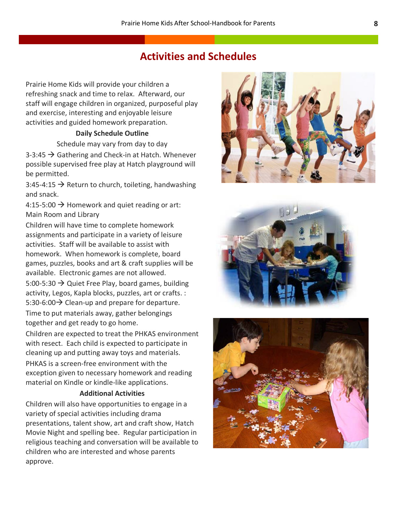## **Activities and Schedules**

Prairie Home Kids will provide your children a refreshing snack and time to relax. Afterward, our staff will engage children in organized, purposeful play and exercise, interesting and enjoyable leisure activities and guided homework preparation.

#### **Daily Schedule Outline**

Schedule may vary from day to day

 $3-3:45 \rightarrow$  Gathering and Check-in at Hatch. Whenever possible supervised free play at Hatch playground will be permitted.

3:45-4:15  $\rightarrow$  Return to church, toileting, handwashing and snack.

4:15-5:00  $\rightarrow$  Homework and quiet reading or art: Main Room and Library

Children will have time to complete homework assignments and participate in a variety of leisure activities. Staff will be available to assist with homework. When homework is complete, board games, puzzles, books and art & craft supplies will be available. Electronic games are not allowed.

5:00-5:30  $\rightarrow$  Quiet Free Play, board games, building activity, Legos, Kapla blocks, puzzles, art or crafts. : 5:30-6:00 $\rightarrow$  Clean-up and prepare for departure. Time to put materials away, gather belongings together and get ready to go home.

Children are expected to treat the PHKAS environment with resect. Each child is expected to participate in cleaning up and putting away toys and materials. PHKAS is a screen-free environment with the exception given to necessary homework and reading material on Kindle or kindle-like applications.

#### **Additional Activities**

Children will also have opportunities to engage in a variety of special activities including drama presentations, talent show, art and craft show, Hatch Movie Night and spelling bee. Regular participation in religious teaching and conversation will be available to children who are interested and whose parents approve.





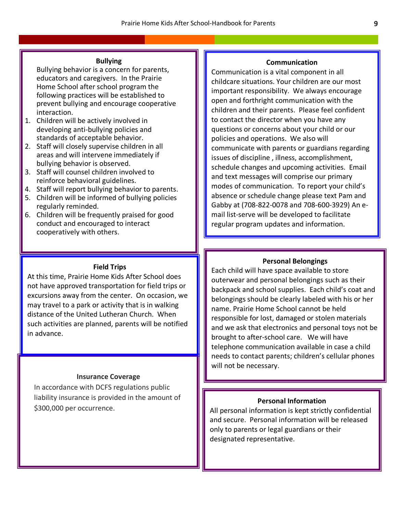#### **Bullying**

Bullying behavior is a concern for parents, educators and caregivers. In the Prairie Home School after school program the following practices will be established to prevent bullying and encourage cooperative interaction.

- 1. Children will be actively involved in developing anti-bullying policies and standards of acceptable behavior.
- 2. Staff will closely supervise children in all areas and will intervene immediately if bullying behavior is observed.
- 3. Staff will counsel children involved to reinforce behavioral guidelines.
- 4. Staff will report bullying behavior to parents.
- 5. Children will be informed of bullying policies regularly reminded.
- 6. Children will be frequently praised for good conduct and encouraged to interact cooperatively with others.

#### **Field Trips**

At this time, Prairie Home Kids After School does not have approved transportation for field trips or excursions away from the center. On occasion, we may travel to a park or activity that is in walking distance of the United Lutheran Church. When such activities are planned, parents will be notified in advance.

#### **Insurance Coverage**

In accordance with DCFS regulations public liability insurance is provided in the amount of \$300,000 per occurrence.

#### **Communication**

Communication is a vital component in all childcare situations. Your children are our most important responsibility. We always encourage open and forthright communication with the children and their parents. Please feel confident to contact the director when you have any questions or concerns about your child or our policies and operations. We also will communicate with parents or guardians regarding issues of discipline , illness, accomplishment, schedule changes and upcoming activities. Email and text messages will comprise our primary modes of communication. To report your child's absence or schedule change please text Pam and Gabby at (708-822-0078 and 708-600-3929) An email list-serve will be developed to facilitate regular program updates and information.

#### **Personal Belongings**

Each child will have space available to store outerwear and personal belongings such as their backpack and school supplies. Each child's coat and belongings should be clearly labeled with his or her name. Prairie Home School cannot be held responsible for lost, damaged or stolen materials and we ask that electronics and personal toys not be brought to after-school care. We will have telephone communication available in case a child needs to contact parents; children's cellular phones will not be necessary.

#### **Personal Information**

All personal information is kept strictly confidential and secure. Personal information will be released only to parents or legal guardians or their designated representative.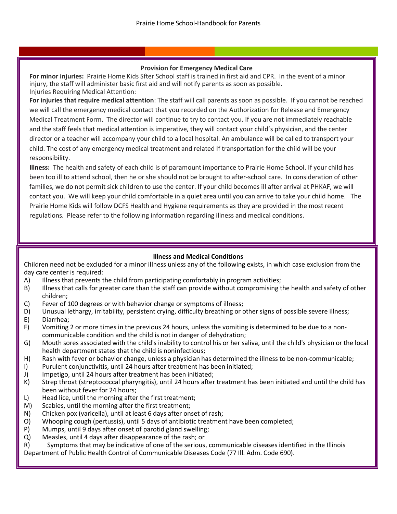#### **Provision for Emergency Medical Care**

**For minor injuries:** Prairie Home Kids Sfter School staff is trained in first aid and CPR. In the event of a minor injury, the staff will administer basic first aid and will notify parents as soon as possible. Injuries Requiring Medical Attention:

**For injuries that require medical attention**: The staff will call parents as soon as possible. If you cannot be reached we will call the emergency medical contact that you recorded on the Authorization for Release and Emergency Medical Treatment Form. The director will continue to try to contact you. If you are not immediately reachable and the staff feels that medical attention is imperative, they will contact your child's physician, and the center director or a teacher will accompany your child to a local hospital. An ambulance will be called to transport your child. The cost of any emergency medical treatment and related If transportation for the child will be your responsibility.

**Illness:** The health and safety of each child is of paramount importance to Prairie Home School. If your child has been too ill to attend school, then he or she should not be brought to after-school care. In consideration of other families, we do not permit sick children to use the center. If your child becomes ill after arrival at PHKAF, we will contact you. We will keep your child comfortable in a quiet area until you can arrive to take your child home. The Prairie Home Kids will follow DCFS Health and Hygiene requirements as they are provided in the most recent regulations. Please refer to the following information regarding illness and medical conditions.

#### **Illness and Medical Conditions**

Children need not be excluded for a minor illness unless any of the following exists, in which case exclusion from the day care center is required:

- A) Illness that prevents the child from participating comfortably in program activities;
- B) Illness that calls for greater care than the staff can provide without compromising the health and safety of other children;
- C) Fever of 100 degrees or with behavior change or symptoms of illness;
- D) Unusual lethargy, irritability, persistent crying, difficulty breathing or other signs of possible severe illness;
- E) Diarrhea;
- F) Vomiting 2 or more times in the previous 24 hours, unless the vomiting is determined to be due to a noncommunicable condition and the child is not in danger of dehydration;
- G) Mouth sores associated with the child's inability to control his or her saliva, until the child's physician or the local health department states that the child is noninfectious;
- H) Rash with fever or behavior change, unless a physician has determined the illness to be non-communicable;
- I) Purulent conjunctivitis, until 24 hours after treatment has been initiated;
- J) Impetigo, until 24 hours after treatment has been initiated;
- K) Strep throat (streptococcal pharyngitis), until 24 hours after treatment has been initiated and until the child has been without fever for 24 hours;
- L) Head lice, until the morning after the first treatment;
- M) Scabies, until the morning after the first treatment;
- N) Chicken pox (varicella), until at least 6 days after onset of rash;
- O) Whooping cough (pertussis), until 5 days of antibiotic treatment have been completed;
- P) Mumps, until 9 days after onset of parotid gland swelling;
- Q) Measles, until 4 days after disappearance of the rash; or
- R) Symptoms that may be indicative of one of the serious, communicable diseases identified in the Illinois

Department of Public Health Control of Communicable Diseases Code (77 Ill. Adm. Code 690).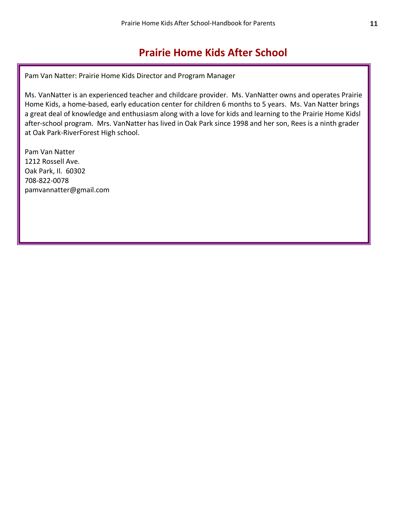## **Prairie Home Kids After School**

Pam Van Natter: Prairie Home Kids Director and Program Manager

1212 Rose ADC after-school program. Mrs. VanNatter has lived in Oak Park since 1998 and her son, Rees is a ninth grader Ms. VanNatter is an experienced teacher and childcare provider. Ms. VanNatter owns and operates Prairie Home Kids, a home-based, early education center for children 6 months to 5 years. Ms. Van Natter brings a great deal of knowledge and enthusiasm along with a love for kids and learning to the Prairie Home Kidsl at Oak Park-RiverForest High school.

Pam Van Natter 1212 Rossell Ave. Oak Park, Il. 60302 708-822-0078 pamvannatter@gmail.com